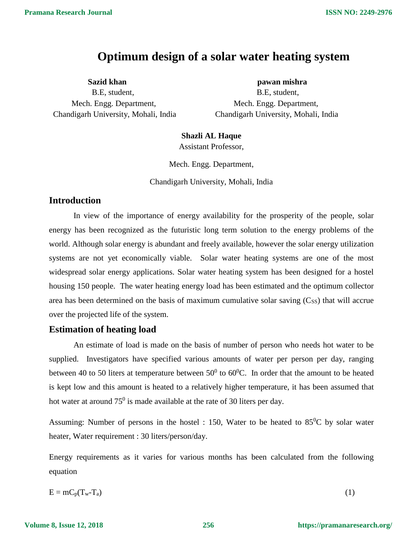# **Optimum design of a solar water heating system**

B.E, student, B.E, student, Mech. Engg. Department, Mech. Engg. Department, Chandigarh University, Mohali, India Chandigarh University, Mohali, India

**Sazid khan pawan mishra**

## **Shazli AL Haque**

Assistant Professor,

Mech. Engg. Department,

Chandigarh University, Mohali, India

## **Introduction**

In view of the importance of energy availability for the prosperity of the people, solar energy has been recognized as the futuristic long term solution to the energy problems of the world. Although solar energy is abundant and freely available, however the solar energy utilization systems are not yet economically viable. Solar water heating systems are one of the most widespread solar energy applications. Solar water heating system has been designed for a hostel housing 150 people. The water heating energy load has been estimated and the optimum collector area has been determined on the basis of maximum cumulative solar saving  $(C_{SS})$  that will accrue over the projected life of the system.

# **Estimation of heating load**

An estimate of load is made on the basis of number of person who needs hot water to be supplied. Investigators have specified various amounts of water per person per day, ranging between 40 to 50 liters at temperature between  $50^0$  to  $60^0$ C. In order that the amount to be heated is kept low and this amount is heated to a relatively higher temperature, it has been assumed that hot water at around  $75^0$  is made available at the rate of 30 liters per day.

Assuming: Number of persons in the hostel : 150, Water to be heated to  $85^{\circ}$ C by solar water heater, Water requirement : 30 liters/person/day.

Energy requirements as it varies for various months has been calculated from the following equation

$$
E = mC_p(T_w - T_a)
$$
 (1)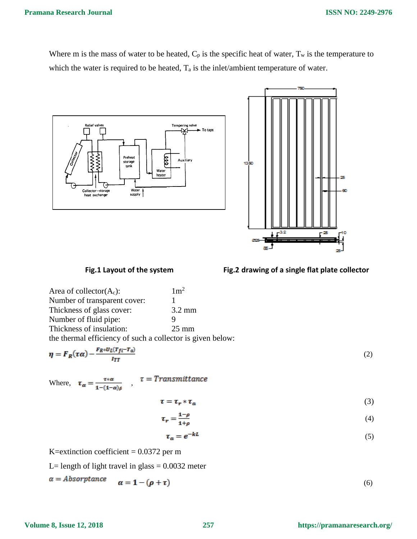#### **Pramana Research Journal**

Where m is the mass of water to be heated,  $C_p$  is the specific heat of water,  $T_w$  is the temperature to which the water is required to be heated,  $T_a$  is the inlet/ambient temperature of water.





#### Fig.1 Layout of the system Fig.2 drawing of a single flat plate collector

| Area of collector $(A_c)$ :         | $1 \text{m}^2$   |
|-------------------------------------|------------------|
| Number of transparent cover:        |                  |
| Thickness of glass cover:           | $3.2 \text{ mm}$ |
| Number of fluid pipe:               | Ч                |
| Thickness of insulation:            | $25 \text{ mm}$  |
| $\alpha$ $\alpha$ $\alpha$ $\alpha$ |                  |

the thermal efficiency of such a collector is given below:

$$
\eta = F_R(\tau \alpha) - \frac{F_R * U_L(T_{fi} - T_a)}{I_{TT}} \tag{2}
$$

Where, 
$$
\tau_{\alpha} = \frac{\tau \cdot \alpha}{1 - (1 - \alpha)\rho}
$$
,  $\tau =$  Transmittance

 $(3)$ 

$$
\tau_r = \frac{1-\rho}{1+\rho} \tag{4}
$$

$$
\tau_a = e^{-kL} \tag{5}
$$

K=extinction coefficient  $= 0.0372$  per m

L= length of light travel in glass =  $0.0032$  meter

$$
\alpha = \mathbf{1} - (\boldsymbol{\rho} + \boldsymbol{\tau}) \tag{6}
$$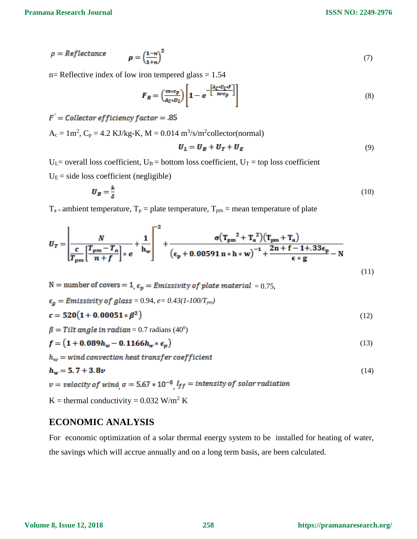**ISSN NO: 2249-2976**

$$
\rho = \text{Reference} \qquad \rho = \left(\frac{1-n}{1+n}\right)^2 \tag{7}
$$

 $n=$  Reflective index of low iron tempered glass = 1.54

$$
F_R = \left(\frac{m \cdot c_p}{A_C \cdot U_L}\right) \left[1 - e^{-\left[\frac{A_C \cdot U_L \cdot F}{m \cdot c_p}\right]}\right] \tag{8}
$$

$$
F' =
$$
 Collector efficiency factor = .85

 $A_c = 1m^2$ ,  $C_p = 4.2$  KJ/kg-K, M = 0.014 m<sup>3</sup>/s/m<sup>2</sup>collector(normal)

$$
U_L = U_B + U_T + U_E \tag{9}
$$

 $U_L$ = overall loss coefficient,  $U_B$  = bottom loss coefficient,  $U_T$  = top loss coefficient  $U<sub>E</sub>$  = side loss coefficient (negligible)

$$
\boldsymbol{U}_B = \frac{k}{\delta} \tag{10}
$$

 $T_{a}$  = ambient temperature,  $T_{p}$  = plate temperature,  $T_{pm}$  = mean temperature of plate

$$
U_{T} = \left| \frac{N}{\frac{c}{T_{pm}} \left[ \frac{T_{pm} - T_{a}}{n + f} \right] * e} + \frac{1}{h_{w}} \right|^{-2} + \frac{\sigma (T_{pm}^{2} + T_{a}^{2}) (T_{pm} + T_{a})}{(\epsilon_{p} + 0.00591 n * h * w)^{-1} + \frac{2n + f - 1 + .33 \epsilon_{p}}{\epsilon * g} - N}
$$
\n(11)

N = number of covers = 1,  $\epsilon_p$  = Emissivity of plate material = 0.75,

$$
\epsilon_g = Emissivity \ of \ glass = 0.94, e = 0.43(1 \cdot 100/T_{pm})
$$
  
\n
$$
c = 520(1 + 0.00051 * \beta^2)
$$
 (12)

$$
\beta = Tilt angle in radian = 0.7 radians (40^0)
$$

$$
f = (1 + 0.089h_w - 0.1166h_w * \epsilon_p)
$$
 (13)

 $h_w = wind\,convection\,heat\,transfer\,coefficient$ 

$$
h_w = 5.7 + 3.8v
$$

 $v = velocity$  of wind  $\sigma = 5.67 * 10^{-8}$   $l_{ff} = intensity$  of solar radiation

K = thermal conductivity =  $0.032$  W/m<sup>2</sup> K

#### **ECONOMIC ANALYSIS**

For economic optimization of a solar thermal energy system to be installed for heating of water, the savings which will accrue annually and on a long term basis, are been calculated.

(14)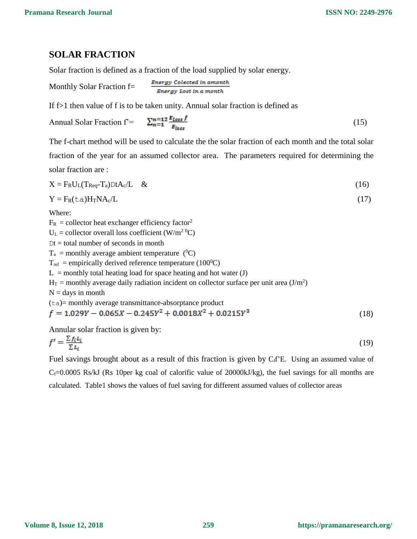## **SOLAR FRACTION**

Solar fraction is defined as a fraction of the load supplied by solar energy.

Monthly Solar Fraction f=

 $\ddotsc$ 

If f>1 then value of f is to be taken unity. Annual solar fraction is defined as

÷.

$$
Annual Solar Fraction f = \frac{\sum_{n=1}^{n=12} \frac{E_{Loss} f}{E_{loss}}}{E_{loss}}
$$
\n(15)

The f-chart method will be used to calculate the the solar fraction of each month and the total solar fraction of the year for an assumed collector area. The parameters required for determining the solar fraction are :

$$
X = F_R U_L (T_{Req} - T_a) D t A_c / L \& (16)
$$

$$
Y = F_R(ta)H_T N A_c/L
$$
 (17)

Where:

 $F_R$  = collector heat exchanger efficiency factor<sup>2</sup>

 $U_L$  = collector overall loss coefficient (W/m<sup>2 0</sup>C)

 $Dt = total$  number of seconds in month

 $T_a$  = monthly average ambient temperature (<sup>0</sup>C)

 $T_{ref}$  = empirically derived reference temperature (100<sup>0</sup>C)

 $L =$  monthly total heating load for space heating and hot water (J)

 $H_T$  = monthly average daily radiation incident on collector surface per unit area (J/m<sup>2</sup>)

 $N =$  days in month

(ta)= monthly average transmittance-absorptance product

$$
f = 1.029Y - 0.065X - 0.245Y^2 + 0.0018X^2 + 0.0215Y^3
$$
\n
$$
(18)
$$

Annular solar fraction is given by:

$$
f' = \frac{\sum f_i L_i}{\sum L_i} \tag{19}
$$

Fuel savings brought about as a result of this fraction is given by  $C_f f^2E$ . Using an assumed value of  $C_f=0.0005$  Rs/kJ (Rs 10per kg coal of calorific value of 20000kJ/kg), the fuel savings for all months are calculated. Table1 shows the values of fuel saving for different assumed values of collector areas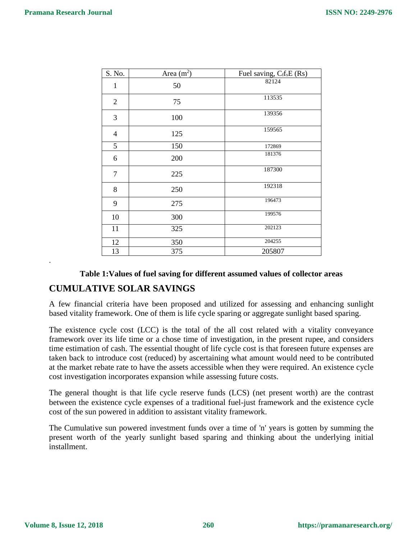| S. No.         | Area $(m2)$ | Fuel saving, C <sub>f</sub> f <sub>s</sub> E (Rs) |
|----------------|-------------|---------------------------------------------------|
| $\mathbf{1}$   | 50          | 82124                                             |
| $\overline{2}$ | 75          | 113535                                            |
| 3              | 100         | 139356                                            |
| $\overline{4}$ | 125         | 159565                                            |
| 5              | 150         | 172869                                            |
| 6              | 200         | 181376                                            |
| $\overline{7}$ | 225         | 187300                                            |
| 8              | 250         | 192318                                            |
| 9              | 275         | 196473                                            |
| 10             | 300         | 199576                                            |
| 11             | 325         | 202123                                            |
| 12             | 350         | 204255                                            |
| 13             | 375         | 205807                                            |

#### **Table 1:Values of fuel saving for different assumed values of collector areas**

## **CUMULATIVE SOLAR SAVINGS**

A few financial criteria have been proposed and utilized for assessing and enhancing sunlight based vitality framework. One of them is life cycle sparing or aggregate sunlight based sparing.

The existence cycle cost (LCC) is the total of the all cost related with a vitality conveyance framework over its life time or a chose time of investigation, in the present rupee, and considers time estimation of cash. The essential thought of life cycle cost is that foreseen future expenses are taken back to introduce cost (reduced) by ascertaining what amount would need to be contributed at the market rebate rate to have the assets accessible when they were required. An existence cycle cost investigation incorporates expansion while assessing future costs.

The general thought is that life cycle reserve funds (LCS) (net present worth) are the contrast between the existence cycle expenses of a traditional fuel-just framework and the existence cycle cost of the sun powered in addition to assistant vitality framework.

The Cumulative sun powered investment funds over a time of 'n' years is gotten by summing the present worth of the yearly sunlight based sparing and thinking about the underlying initial installment.

.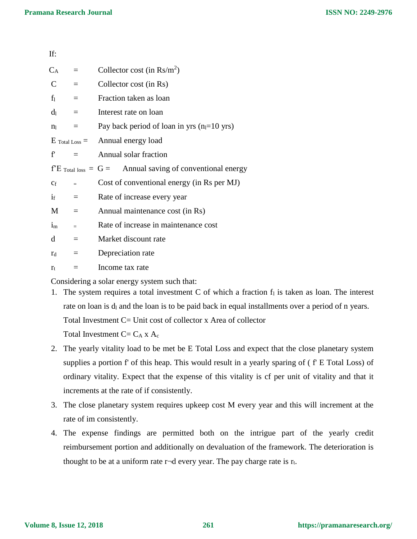| If:            |                         |                                                                     |
|----------------|-------------------------|---------------------------------------------------------------------|
| $C_A$          | $\equiv$                | Collector cost (in $\text{Rs/m}^2$ )                                |
| $\mathbf C$    | $\equiv$                | Collector cost (in Rs)                                              |
| $f_1$          | $\equiv$                | Fraction taken as loan                                              |
| $d_1$          | $\equiv$                | Interest rate on loan                                               |
| n <sub>1</sub> | $=$                     | Pay back period of loan in yrs $(n_1=10 \text{ yrs})$               |
|                |                         | $E_{\text{Total Loss}} =$ Annual energy load                        |
| $f^{\prime}$   | $\equiv$                | Annual solar fraction                                               |
|                |                         | $f^{\prime}E$ Total loss = G = Annual saving of conventional energy |
| $C_f$          | $=$                     | Cost of conventional energy (in Rs per MJ)                          |
| $i_{\rm f}$    | $\qquad \qquad =\qquad$ | Rate of increase every year                                         |
| M              | $\equiv$                | Annual maintenance cost (in Rs)                                     |
| $i_{m}$        | $=$                     | Rate of increase in maintenance cost                                |
| d              | $\equiv$                | Market discount rate                                                |
| $r_d$          | $\equiv$                | Depreciation rate                                                   |
| $r_{t}$        | $=$                     | Income tax rate                                                     |
|                |                         |                                                                     |

Considering a solar energy system such that:

- 1. The system requires a total investment C of which a fraction  $f_1$  is taken as loan. The interest rate on loan is  $d<sub>l</sub>$  and the loan is to be paid back in equal installments over a period of n years. Total Investment C= Unit cost of collector x Area of collector Total Investment  $C = C_A x A_c$
- 2. The yearly vitality load to be met be E Total Loss and expect that the close planetary system supplies a portion f' of this heap. This would result in a yearly sparing of ( f' E Total Loss) of ordinary vitality. Expect that the expense of this vitality is cf per unit of vitality and that it increments at the rate of if consistently.
- 3. The close planetary system requires upkeep cost M every year and this will increment at the rate of im consistently.
- 4. The expense findings are permitted both on the intrigue part of the yearly credit reimbursement portion and additionally on devaluation of the framework. The deterioration is thought to be at a uniform rate  $r\neg d$  every year. The pay charge rate is  $r_t$ .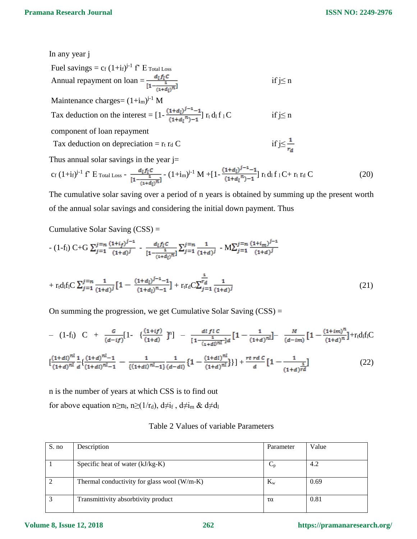In any year j

Field savings = 
$$
c_f (1+i_f)^{j-1} f^2
$$
 E<sub>Total Loss</sub>

\nAnnual repayment on loan =  $\frac{d_l f_l c}{[1-(i+d_l)^{\pi}]}$  if j ≤ n

\nMaintename charges =  $(1+i_m)^{j-1} M$ 

\nTax deduction on the interest =  $[1 - \frac{(1+d_l)^{j-1}-1}{(1+d_l)^{\pi})-1}] r_t d_l f_l C$  if j ≤ n

\ncomponent of loan repayment

\nTax deduction on depreciation =  $r_t r_d C$  if j ≤  $\frac{1}{r_d}$ 

\nThus annual solar savings in the year j=

$$
c_f (1+i_f)^{j-1} f^2 E_{\text{Total Loss}} - \frac{d_l f_l c}{\left[1 - \frac{1}{(1+d_l)^n}\right]} - (1+i_m)^{j-1} M + \left[1 - \frac{(1+d_l)^{j-1} - 1}{(1+d_l)^n - 1}\right] r_t d_l f_l C + r_t r_d C \tag{20}
$$

The cumulative solar saving over a period of n years is obtained by summing up the present worth of the annual solar savings and considering the initial down payment. Thus

Cumulative Solar Saving (CSS) =

$$
- (1-f_1) C + G \sum_{j=1}^{j=n} \frac{(1+i_f)^{j-1}}{(1+d)^j} - \frac{d_1f_1C}{[1-\frac{1}{(1+d_1)^n}]} \sum_{j=1}^{j=n} \frac{1}{(1+d)^j} - M \sum_{j=1}^{j=n} \frac{(1+i_m)^{j-1}}{(1+d)^j}
$$

$$
+ r_{t}d_{1}f_{1}C \sum_{j=1}^{j=n} \frac{1}{(1+d)^{j}} \left[1 - \frac{(1+d_{l})^{j-1}-1}{(1+d_{l})^{n}-1}\right] + r_{t}r_{d}C \sum_{j=1}^{n} \frac{1}{(1+d)^{j}}
$$
(21)

On summing the progression, we get Cumulative Solar Saving  $(CSS)$  =

$$
- (1-f1) C + \frac{G}{(d-if)} [1 - \left\{ \frac{(1+if)}{(1+d)} \right\}]^n] - \frac{d!f!C}{[1 - \frac{1}{(1+d)} \pi]^d} [1 - \frac{1}{(1+d)} \frac{M}{[1 - \frac{1}{(1+d)} \pi]} - \frac{M}{(d-if)} [1 - \frac{(1+if)}{(1+d)} \pi] + r_t d_t f]C
$$
  

$$
\left[ \frac{(1+di)^{nl}}{(1+d)^{nl}} \frac{1}{d} \left\{ \frac{(1+di)^{nl} - 1}{(1+di)^{nl} - 1} - \frac{1}{\{(1+di)^{nl} - 1\}} \frac{1}{(d-di)} \left\{ 1 - \frac{(1+di)^{nl}}{(1+d)} \right\} \right\} + \frac{rt \pi C}{d} [1 - \frac{1}{(1+d)^{rd}} ] \qquad (22)
$$

n is the number of years at which CSS is to find out for above equation n≥n<sub>l</sub>, n≥(1/r<sub>d</sub>), d≠i<sub>f</sub>, d≠i<sub>m</sub> & d≠d<sub>l</sub>

|  |  |  | Table 2 Values of variable Parameters |
|--|--|--|---------------------------------------|
|--|--|--|---------------------------------------|

| S. no | Description                                   | Parameter | Value |
|-------|-----------------------------------------------|-----------|-------|
|       |                                               |           |       |
|       | Specific heat of water (kJ/kg-K)              |           | 4.2   |
|       | Thermal conductivity for glass wool $(W/m-K)$ | $K_{w}$   | 0.69  |
| 2     | Transmittivity absorbtivity product           | τα        | 0.81  |

#### **Volume 8, Issue 12, 2018**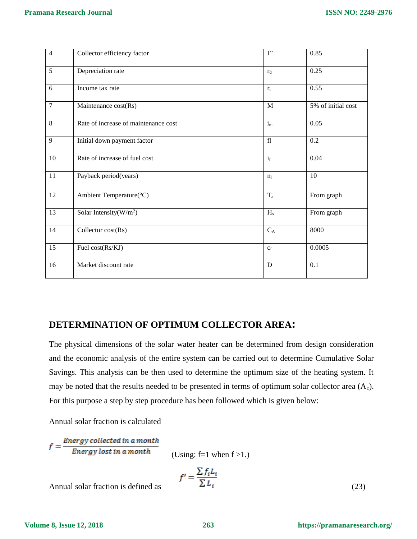| $\overline{4}$ | Collector efficiency factor          | F'             | 0.85               |
|----------------|--------------------------------------|----------------|--------------------|
| 5              | Depreciation rate                    | $r_d$          | 0.25               |
| 6              | Income tax rate                      | $r_t$          | 0.55               |
| $\overline{7}$ | Maintenance cost(Rs)                 | M              | 5% of initial cost |
| $\overline{8}$ | Rate of increase of maintenance cost | $i_{m}$        | 0.05               |
| 9              | Initial down payment factor          | f1             | 0.2                |
| 10             | Rate of increase of fuel cost        | $i_{\rm f}$    | 0.04               |
| $11\,$         | Payback period(years)                | n <sub>1</sub> | 10                 |
| 12             | Ambient Temperature(°C)              | $T_a$          | From graph         |
| 13             | Solar Intensity( $W/m2$ )            | $H_s$          | From graph         |
| 14             | Collector cost(Rs)                   | $C_A$          | 8000               |
| 15             | Fuel cost(Rs/KJ)                     | $C_f$          | 0.0005             |
| 16             | Market discount rate                 | D              | 0.1                |

#### **DETERMINATION OF OPTIMUM COLLECTOR AREA:**

The physical dimensions of the solar water heater can be determined from design consideration and the economic analysis of the entire system can be carried out to determine Cumulative Solar Savings. This analysis can be then used to determine the optimum size of the heating system. It may be noted that the results needed to be presented in terms of optimum solar collector area  $(A_c)$ . For this purpose a step by step procedure has been followed which is given below:

Annual solar fraction is calculated

 $f = \frac{Energy collected in a month}{Energy lost in a month}$ 

(Using: f=1 when  $f > 1$ .)

$$
f' = \frac{\sum f_i L_i}{\sum L_i}
$$
 (23)

Annual solar fraction is defined as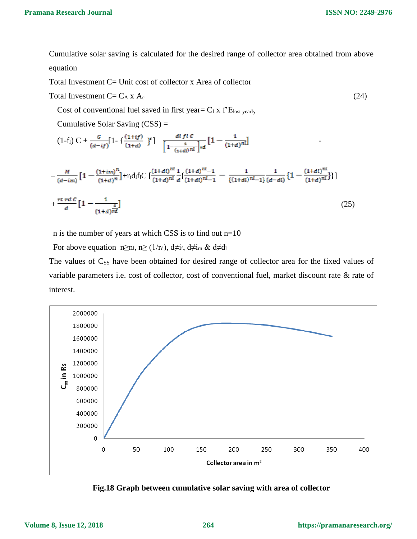**ISSN NO: 2249-2976**

Cumulative solar saving is calculated for the desired range of collector area obtained from above equation

Total Investment C= Unit cost of collector x Area of collector

$$
Total Investment C = C_A \times A_c \tag{24}
$$

Cost of conventional fuel saved in first year=  $C_f$  x  $f<sup>2</sup>E<sub>lost</sub>$  yearly

Cumulative Solar Saving (CSS) =

$$
-(1-f_1) C + \frac{G}{(d-i f)} [1 - {\frac{(1+i f)}{(1+d)}}]^{n} ] - \frac{d l f l c}{\left[1 - \frac{1}{(1+d) n l}\right]^{d}} [1 - \frac{1}{(1+d)^{n l}}]
$$

$$
-\frac{M}{(d-im)}\left[1-\frac{(1+im)^n}{(1+d)^n}\right]+r_t d_l f_l C\left[\frac{(1+d)^{nl}}{(1+d)^{nl}}\frac{1}{d}\left\{\frac{(1+d)^{nl-1}}{(1+d)^{nl-1}}-\frac{1}{\{(1+d)^{nl-1}}\frac{1}{(d-dl)}\left\{1-\frac{(1+dl)^{nl}}{(1+d)^{nl}}\right\}\right\}\right]
$$

$$
+\frac{rt\,rd\,C}{d}\left[1-\frac{1}{(1+d)^{rd}}\right]
$$
(25)

n is the number of years at which CSS is to find out n=10

For above equation n≥n<sub>l</sub>, n≥ (1/r<sub>d</sub>), d≠i<sub>f</sub>, d≠i<sub>m</sub> & d≠d<sub>1</sub>

The values of  $C_{SS}$  have been obtained for desired range of collector area for the fixed values of variable parameters i.e. cost of collector, cost of conventional fuel, market discount rate & rate of interest.



**Fig.18 Graph between cumulative solar saving with area of collector**